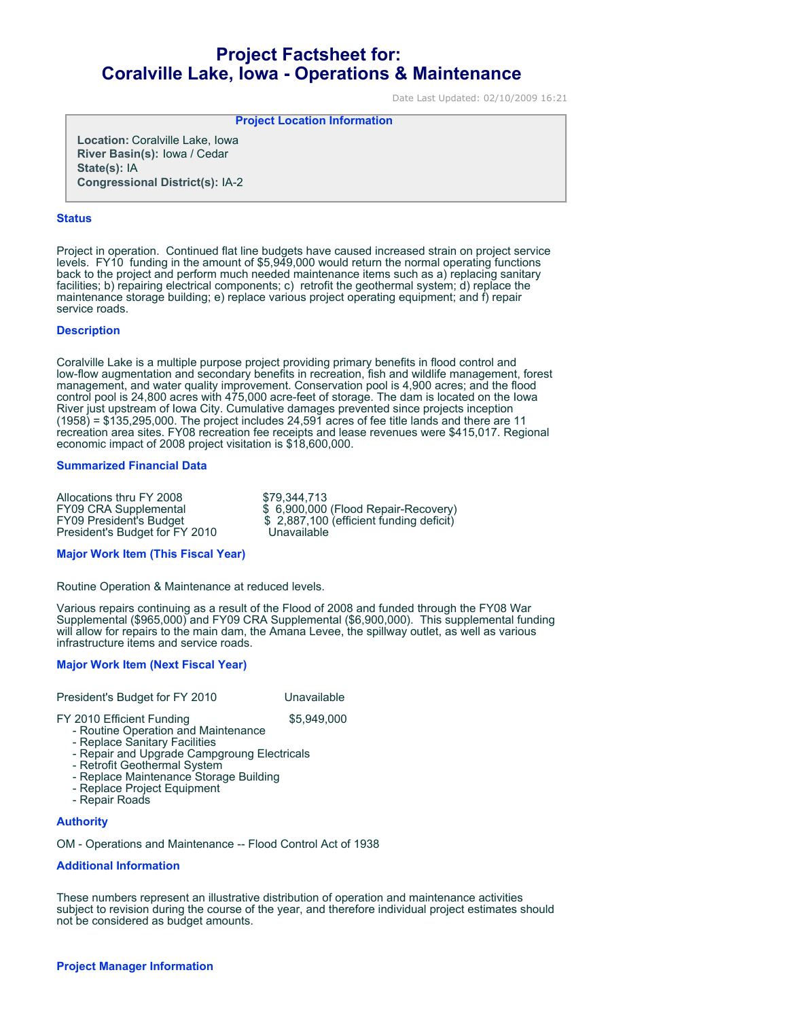# **Project Factsheet for: Coralville Lake, Iowa - Operations & Maintenance**

Date Last Updated: 02/10/2009 16:21

**Project Location Information** 

**Location:** Coralville Lake, Iowa **River Basin(s):** Iowa / Cedar **State(s):** IA **Congressional District(s):** IA-2

## **Status**

Project in operation. Continued flat line budgets have caused increased strain on project service levels. FY10 funding in the amount of \$5,949,000 would return the normal operating functions back to the project and perform much needed maintenance items such as a) replacing sanitary facilities; b) repairing electrical components; c) retrofit the geothermal system; d) replace the maintenance storage building; e) replace various project operating equipment; and f) repair service roads.

## **Description**

Coralville Lake is a multiple purpose project providing primary benefits in flood control and low-flow augmentation and secondary benefits in recreation, fish and wildlife management, forest management, and water quality improvement. Conservation pool is 4,900 acres; and the flood control pool is 24,800 acres with 475,000 acre-feet of storage. The dam is located on the Iowa River just upstream of Iowa City. Cumulative damages prevented since projects inception  $(1958)$  = \$135,295,000. The project includes 24,591 acres of fee title lands and there are 11 recreation area sites. FY08 recreation fee receipts and lease revenues were \$415,017. Regional economic impact of 2008 project visitation is \$18,600,000.

## **Summarized Financial Data**

Allocations thru FY 2008 \$79,344,713<br>FY09 CRA Supplemental \$6,900,000 President's Budget for FY 2010

FY09 CRA Supplemental  $$ 6,900,000$  (Flood Repair-Recovery)<br>FY09 President's Budget \$2,887,100 (efficient funding deficit) \$ 2,887,100 (efficient funding deficit)<br>Unavailable

#### **Major Work Item (This Fiscal Year)**

Routine Operation & Maintenance at reduced levels.

Various repairs continuing as a result of the Flood of 2008 and funded through the FY08 War Supplemental (\$965,000) and FY09 CRA Supplemental (\$6,900,000). This supplemental funding will allow for repairs to the main dam, the Amana Levee, the spillway outlet, as well as various infrastructure items and service roads.

# **Major Work Item (Next Fiscal Year)**

President's Budget for FY 2010 Unavailable

FY 2010 Efficient Funding \$5,949,000

- Routine Operation and Maintenance

- Replace Sanitary Facilities - Repair and Upgrade Campgroung Electricals
- Retrofit Geothermal System
- Replace Maintenance Storage Building
- Replace Project Equipment
- Repair Roads

# **Authority**

OM - Operations and Maintenance -- Flood Control Act of 1938

# **Additional Information**

These numbers represent an illustrative distribution of operation and maintenance activities subject to revision during the course of the year, and therefore individual project estimates should not be considered as budget amounts.